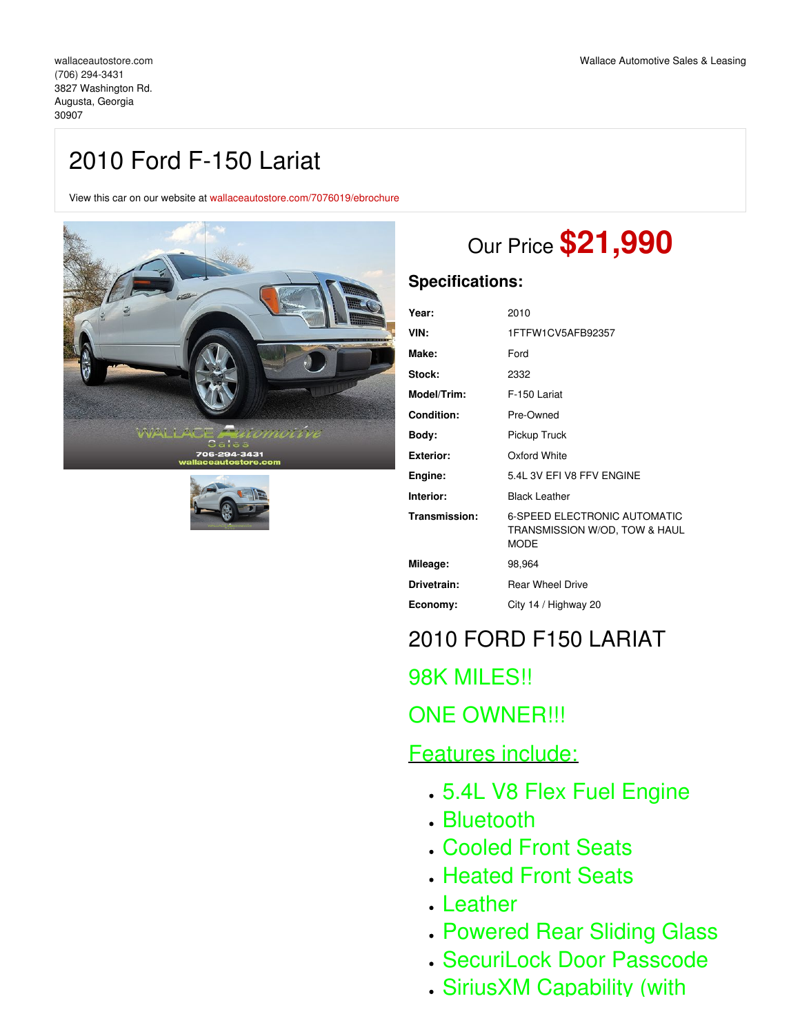## 2010 Ford F-150 Lariat

View this car on our website at [wallaceautostore.com/7076019/ebrochure](https://wallaceautostore.com/vehicle/7076019/2010-ford-f-150-lariat-augusta-georgia-30907/7076019/ebrochure)





# Our Price **\$21,990**

### **Specifications:**

| Year:         | 2010                                                                         |
|---------------|------------------------------------------------------------------------------|
| VIN:          | 1FTFW1CV5AFB92357                                                            |
| Make:         | Ford                                                                         |
| Stock:        | 2332                                                                         |
| Model/Trim:   | F-150 Lariat                                                                 |
| Condition:    | Pre-Owned                                                                    |
| Body:         | Pickup Truck                                                                 |
| Exterior:     | Oxford White                                                                 |
| Engine:       | 5.4L 3V EFI V8 FFV ENGINE                                                    |
| Interior:     | <b>Black Leather</b>                                                         |
| Transmission: | 6-SPEED ELECTRONIC AUTOMATIC<br>TRANSMISSION W/OD, TOW & HAUL<br><b>MODE</b> |
| Mileage:      | 98,964                                                                       |
| Drivetrain:   | <b>Rear Wheel Drive</b>                                                      |
| Economy:      | City 14 / Highway 20                                                         |
|               |                                                                              |

## 2010 FORD F150 LARIAT

98K MILES!!

## ONE OWNER!!!

## Features include:

- 5.4L V8 Flex Fuel Engine
- Bluetooth
- Cooled Front Seats
- Heated Front Seats
- Leather
- Powered Rear Sliding Glass
- SecuriLock Door Passcode
- SiriusXM Capability (with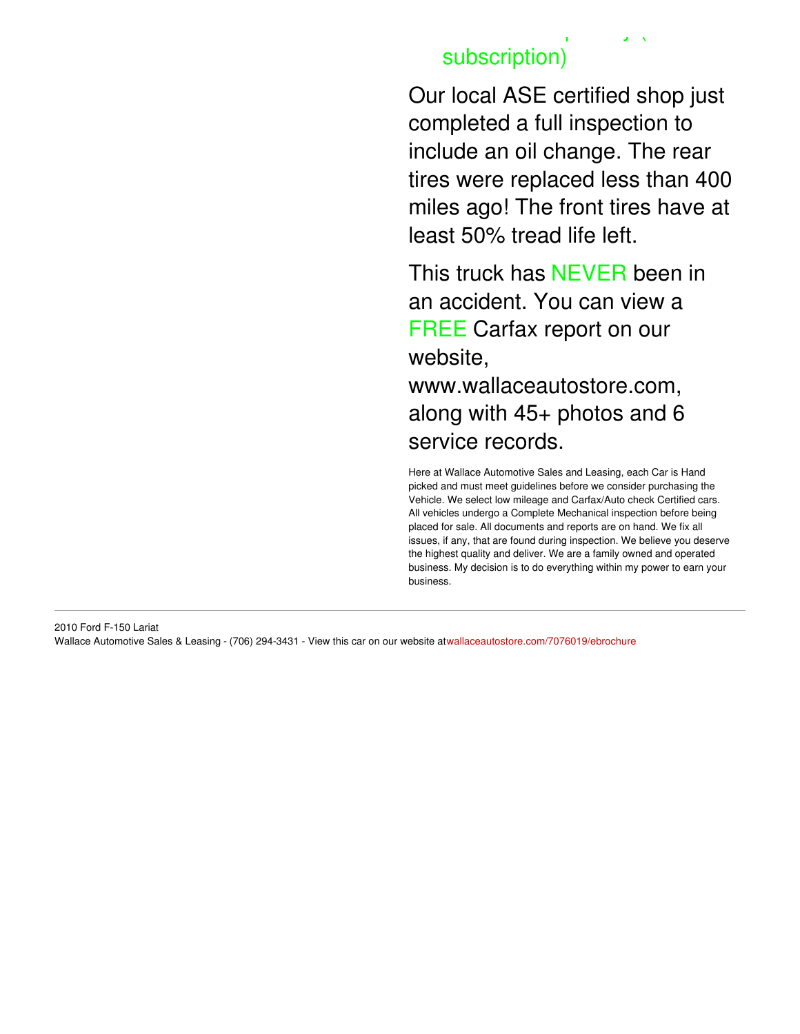## SiriusXM Capability (with subscription)

Our local ASE certified shop just completed a full inspection to include an oil change. The rear tires were replaced less than 400 miles ago! The front tires have at least 50% tread life left.

This truck has NEVER been in an accident. You can view a FREE Carfax report on our website, www.wallaceautostore.com, along with 45+ photos and 6 service records.

Here at Wallace Automotive Sales and Leasing, each Car is Hand picked and must meet guidelines before we consider purchasing the Vehicle. We select low mileage and Carfax/Auto check Certified cars. All vehicles undergo a Complete Mechanical inspection before being placed for sale. All documents and reports are on hand. We fix all issues, if any, that are found during inspection. We believe you deserve the highest quality and deliver. We are a family owned and operated business. My decision is to do everything within my power to earn your business.

2010 Ford F-150 Lariat Wallace Automotive Sales & Leasing - (706) 294-3431 - View this car on our website at[wallaceautostore.com/7076019/ebrochure](https://wallaceautostore.com/vehicle/7076019/2010-ford-f-150-lariat-augusta-georgia-30907/7076019/ebrochure)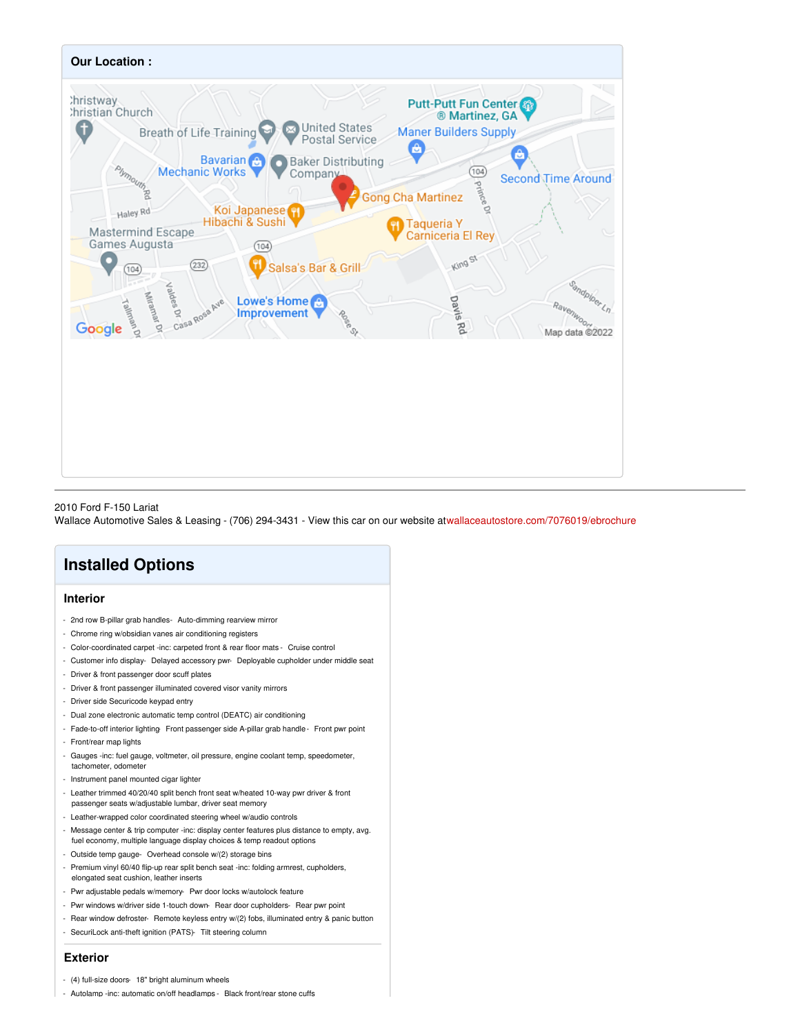

#### 2010 Ford F-150 Lariat

Wallace Automotive Sales & Leasing - (706) 294-3431 - View this car on our website at[wallaceautostore.com/7076019/ebrochure](https://wallaceautostore.com/vehicle/7076019/2010-ford-f-150-lariat-augusta-georgia-30907/7076019/ebrochure)

## **Installed Options**

### **Interior**

- 2nd row B-pillar grab handles- Auto-dimming rearview mirror
- Chrome ring w/obsidian vanes air conditioning registers
- Color-coordinated carpet -inc: carpeted front & rear floor mats Cruise control
- Customer info display- Delayed accessory pwr- Deployable cupholder under middle seat
- Driver & front passenger door scuff plates
- Driver & front passenger illuminated covered visor vanity mirrors
- Driver side Securicode keypad entry
- Dual zone electronic automatic temp control (DEATC) air conditioning
- Fade-to-off interior lighting-Front passenger side A-pillar grab handle-Front pwr point - Front/rear map lights
- Gauges -inc: fuel gauge, voltmeter, oil pressure, engine coolant temp, speedometer, tachometer, odometer
- Instrument panel mounted cigar lighter
- Leather trimmed 40/20/40 split bench front seat w/heated 10-way pwr driver & front passenger seats w/adjustable lumbar, driver seat memory
- Leather-wrapped color coordinated steering wheel w/audio controls
- Message center & trip computer -inc: display center features plus distance to empty, avg.
- fuel economy, multiple language display choices & temp readout options
- Outside temp gauge- Overhead console w/(2) storage bins
- Premium vinyl 60/40 flip-up rear split bench seat -inc: folding armrest, cupholders, elongated seat cushion, leather inserts
- Pwr adjustable pedals w/memory- Pwr door locks w/autolock feature
- Pwr windows w/driver side 1-touch down- Rear door cupholders- Rear pwr point
- Rear window defroster- Remote keyless entry w/(2) fobs, illuminated entry & panic button - SecuriLock anti-theft ignition (PATS)- Tilt steering column

#### **Exterior**

- (4) full-size doors- 18" bright aluminum wheels
- Autolamp -inc: automatic on/off headlamps Black front/rear stone cuffs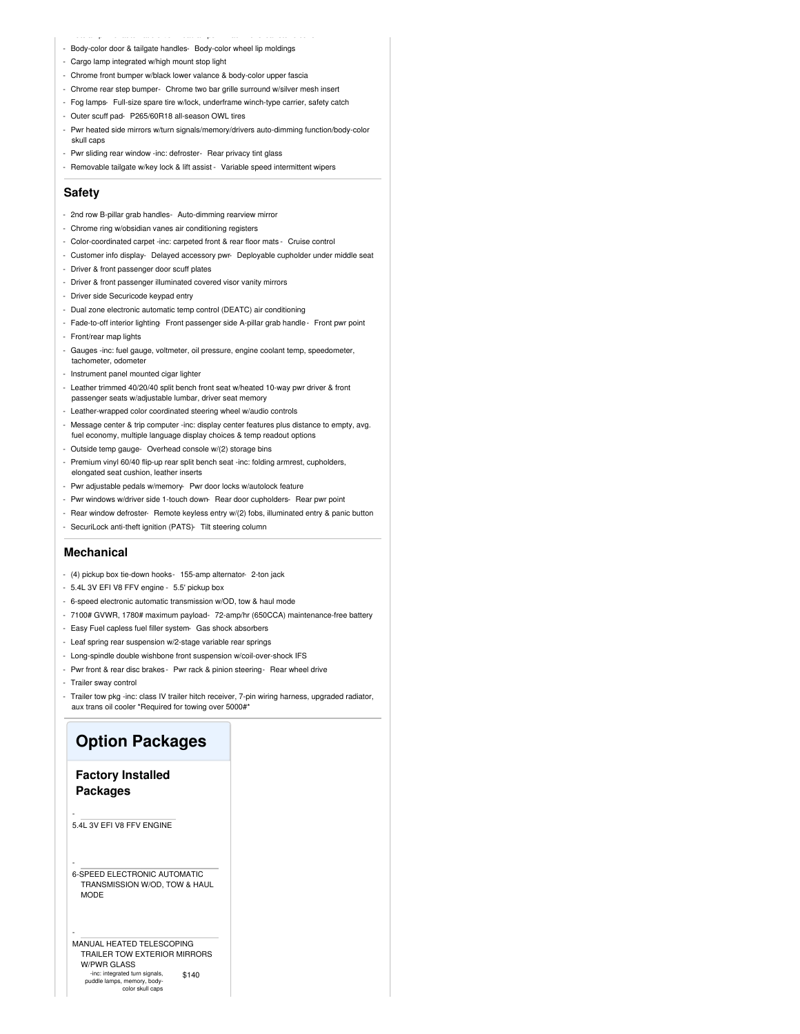- Autolamp -inc: automatic on/off headlamps Black front/rear stone cuffs - Body-color door & tailgate handles- Body-color wheel lip moldings
- Cargo lamp integrated w/high mount stop light
- Chrome front bumper w/black lower valance & body-color upper fascia
- Chrome rear step bumper- Chrome two bar grille surround w/silver mesh insert
- Fog lamps- Full-size spare tire w/lock, underframe winch-type carrier, safety catch
- Outer scuff pad- P265/60R18 all-season OWL tires
- Pwr heated side mirrors w/turn signals/memory/drivers auto-dimming function/body-color skull caps
- Pwr sliding rear window -inc: defroster- Rear privacy tint glass
- Removable tailgate w/key lock & lift assist Variable speed intermittent wipers

#### **Safety**

- 2nd row B-pillar grab handles- Auto-dimming rearview mirror
- Chrome ring w/obsidian vanes air conditioning registers
- Color-coordinated carpet -inc: carpeted front & rear floor mats Cruise control
- Customer info display- Delayed accessory pwr- Deployable cupholder under middle seat
- Driver & front passenger door scuff plates
- Driver & front passenger illuminated covered visor vanity mirrors
- Driver side Securicode keypad entry
- Dual zone electronic automatic temp control (DEATC) air conditioning
- Fade-to-off interior lighting Front passenger side A-pillar grab handle Front pwr point - Front/rear map lights
- Gauges -inc: fuel gauge, voltmeter, oil pressure, engine coolant temp, speedometer, tachometer, odometer
- Instrument panel mounted cigar lighter
- Leather trimmed 40/20/40 split bench front seat w/heated 10-way pwr driver & front passenger seats w/adjustable lumbar, driver seat memory
- Leather-wrapped color coordinated steering wheel w/audio controls
- Message center & trip computer -inc: display center features plus distance to empty, avg. fuel economy, multiple language display choices & temp readout options
- Outside temp gauge- Overhead console w/(2) storage bins
- Premium vinyl 60/40 flip-up rear split bench seat -inc: folding armrest, cupholders, elongated seat cushion, leather inserts
- Pwr adjustable pedals w/memory- Pwr door locks w/autolock feature
- Pwr windows w/driver side 1-touch down- Rear door cupholders- Rear pwr point
- Rear window defroster- Remote keyless entry w/(2) fobs, illuminated entry & panic button
- SecuriLock anti-theft ignition (PATS)- Tilt steering column

#### **Mechanical**

- (4) pickup box tie-down hooks- 155-amp alternator- 2-ton jack
- 5.4L 3V EFI V8 FFV engine 5.5' pickup box
- 6-speed electronic automatic transmission w/OD, tow & haul mode
- 7100# GVWR, 1780# maximum payload- 72-amp/hr (650CCA) maintenance-free battery
- Easy Fuel capless fuel filler system- Gas shock absorbers
- Leaf spring rear suspension w/2-stage variable rear springs
- Long-spindle double wishbone front suspension w/coil-over-shock IFS
- Pwr front & rear disc brakes Pwr rack & pinion steering Rear wheel drive
- Trailer sway control
- Trailer tow pkg -inc: class IV trailer hitch receiver, 7-pin wiring harness, upgraded radiator, aux trans oil cooler \*Required for towing over 5000#\*

### **Option Packages**

### **Factory Installed Packages**

5.4L 3V EFI V8 FFV ENGINE

-

-

-

6-SPEED ELECTRONIC AUTOMATIC TRANSMISSION W/OD, TOW & HAUL **MODE** 

\$140 MANUAL HEATED TELESCOPING TRAILER TOW EXTERIOR MIRRORS W/PWR GLASS -inc: integrated turn signals, puddle lamps, memory, body-color skull caps